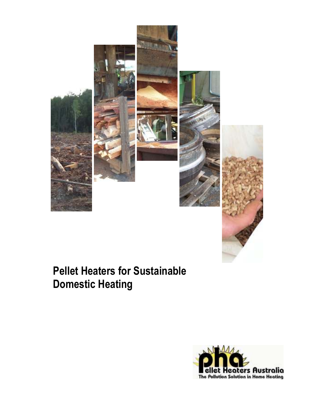



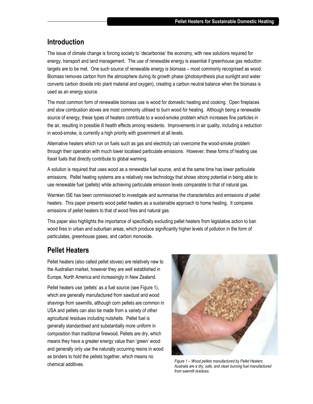#### **Introduction**

The issue of climate change is forcing society to 'decarbonise' the economy, with new solutions required for energy, transport and land management. The use of renewable energy is essential if greenhouse gas reduction targets are to be met. One such source of renewable energy is biomass – most commonly recognised as wood. Biomass removes carbon from the atmosphere during its growth phase (photosynthesis plus sunlight and water converts carbon dioxide into plant material and oxygen), creating a carbon neutral balance when the biomass is used as an energy source.

The most common form of renewable biomass use is wood for domestic heating and cooking. Open fireplaces and slow combustion stoves are most commonly utilised to burn wood for heating. Although being a renewable source of energy, these types of heaters contribute to a wood-smoke problem which increases fine particles in the air, resulting in possible ill health effects among residents. Improvements in air quality, including a reduction in wood-smoke, is currently a high priority with government at all levels.

Alternative heaters which run on fuels such as gas and electricity can overcome the wood-smoke problem through their operation with much lower localised particulate emissions. However, these forms of heating use fossil fuels that directly contribute to global warming.

A solution is required that uses wood as a renewable fuel source, and at the same time has lower particulate emissions. Pellet heating systems are a relatively new technology that shows strong potential in being able to use renewable fuel (pellets) while achieving particulate emission levels comparable to that of natural gas.

Warnken ISE has been commissioned to investigate and summarise the characteristics and emissions of pellet heaters. This paper presents wood pellet heaters as a sustainable approach to home heating. It compares emissions of pellet heaters to that of wood fires and natural gas.

This paper also highlights the importance of specifically excluding pellet heaters from legislative action to ban wood fires in urban and suburban areas, which produce significantly higher levels of pollution in the form of particulates, greenhouse gases, and carbon monoxide.

# **Pellet Heaters**

Pellet heaters (also called pellet stoves) are relatively new to the Australian market, however they are well established in Europe, North America and increasingly in New Zealand.

Pellet heaters use 'pellets' as a fuel source (see Figure 1), which are generally manufactured from sawdust and wood shavings from sawmills, although corn pellets are common in USA and pellets can also be made from a variety of other agricultural residues including nutshells. Pellet fuel is generally standardised and substantially more uniform in composition than traditional firewood. Pellets are dry, which means they have a greater energy value than 'green' wood and generally only use the naturally occurring resins in wood as binders to hold the pellets together, which means no chemical additives.



*Figure 1 – Wood pellets manufactured by Pellet Heaters Australia are a dry, safe, and clean burning fuel manufactured from sawmill residues.*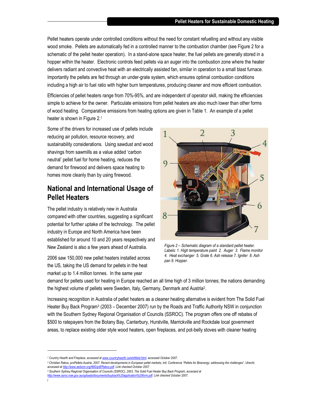Pellet heaters operate under controlled conditions without the need for constant refuelling and without any visible wood smoke. Pellets are automatically fed in a controlled manner to the combustion chamber (see Figure 2 for a schematic of the pellet heater operation). In a stand-alone space heater, the fuel pellets are generally stored in a hopper within the heater. Electronic controls feed pellets via an auger into the combustion zone where the heater delivers radiant and convective heat with an electrically assisted fan, similar in operation to a small blast furnace. Importantly the pellets are fed through an under-grate system, which ensures optimal combustion conditions including a high air to fuel ratio with higher burn temperatures, producing cleaner and more efficient combustion.

Efficiencies of pellet heaters range from 70%-95%, and are independent of operator skill, making the efficiencies simple to achieve for the owner. Particulate emissions from pellet heaters are also much lower than other forms of wood heating. Comparative emissions from heating options are given in Table 1. An example of a pellet heater is shown in Figure 2.<sup>1</sup>

Some of the drivers for increased use of pellets include reducing air pollution, resource recovery, and sustainability considerations. Using sawdust and wood shavings from sawmills as a value added 'carbon neutral' pellet fuel for home heating, reduces the demand for firewood and delivers space heating to homes more cleanly than by using firewood.

## **National and International Usage of Pellet Heaters**

The pellet industry is relatively new in Australia compared with other countries, suggesting a significant potential for further uptake of the technology. The pellet industry in Europe and North America have been established for around 10 and 20 years respectively and New Zealand is also a few years ahead of Australia.

2006 saw 150,000 new pellet heaters installed across the US, taking the US demand for pellets in the heat market up to 1.4 million tonnes. In the same year



*Figure 2 – Schematic diagram of a standard pellet heater. Labels: 1. High temperature paint 2. Auger 3. Flame monitor 4. Heat exchanger 5. Grate 6. Ash release 7. Igniter 8. Ash pan 9. Hopper.* 

demand for pellets used for heating in Europe reached an all time high of 3 million tonnes; the nations demanding the highest volume of pellets were Sweden, Italy, Germany, Denmark and Austria<sup>2</sup>.

Increasing recognition in Australia of pellet heaters as a cleaner heating alternative is evident from The Solid Fuel Heater Buy Back Program<sup>3</sup> (2003 – December 2007) run by the Roads and Traffic Authority NSW in conjunction with the Southern Sydney Regional Organisation of Councils (SSROC). The program offers one off rebates of \$500 to ratepayers from the Botany Bay, Canterbury, Hurstville, Marrickville and Rockdale local government areas, to replace existing older style wood heaters, open fireplaces, and pot-belly stoves with cleaner heating

*3 Southern Sydney Regional Organisation of Councils (SSROC), 2003, The Solid Fuel Heater Buy Back Program, accessed at http://www.ssroc.nsw.gov.au/uploads/documents/buyback%20application%20form.pdf. Link checked October 2007.* 

l

*<sup>1</sup> Country Hearth and Fireplace, accessed at www.countryhearth.ca/whitfield.html, accessed October 2007.* 

*<sup>2</sup> Christian Rakos, proPellets Austria, 2007, Recent developments in European pellet markets, Intl. Conference "Pellets for Bioenergy: addressing the challenges", Utrecht, accessed at http://www.aebiom.org/IMG/pdf/Rakos.pdf. Link checked October 2007*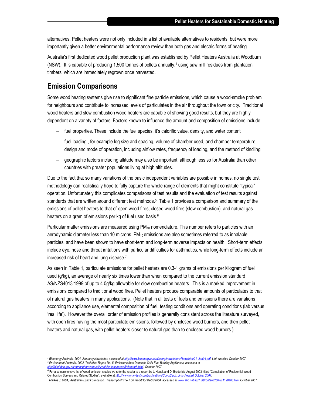alternatives. Pellet heaters were not only included in a list of available alternatives to residents, but were more importantly given a better environmental performance review than both gas and electric forms of heating.

Australia's first dedicated wood pellet production plant was established by Pellet Heaters Australia at Woodburn (NSW). It is capable of producing 1,500 tonnes of pellets annually,<sup>4</sup> using saw mill residues from plantation timbers, which are immediately regrown once harvested.

#### **Emission Comparisons**

l

Some wood heating systems give rise to significant fine particle emissions, which cause a wood-smoke problem for neighbours and contribute to increased levels of particulates in the air throughout the town or city. Traditional wood heaters and slow combustion wood heaters are capable of showing good results, but they are highly dependent on a variety of factors. Factors known to influence the amount and composition of emissions include:

- − fuel properties. These include the fuel species, it's calorific value, density, and water content
- − fuel loading , for example log size and spacing, volume of chamber used, and chamber temperature design and mode of operation, including airflow rates, frequency of loading, and the method of kindling
- − geographic factors including altitude may also be important, although less so for Australia than other countries with greater populations living at high altitudes.

Due to the fact that so many variations of the basic independent variables are possible in homes, no single test methodology can realistically hope to fully capture the whole range of elements that might constitute "typical" operation. Unfortunately this complicates comparisons of test results and the evaluation of test results against standards that are written around different test methods.<sup>5</sup> Table 1 provides a comparison and summary of the emissions of pellet heaters to that of open wood fires, closed wood fires (slow combustion), and natural gas heaters on a gram of emissions per kg of fuel used basis.<sup>6</sup>

Particular matter emissions are measured using PM<sub>10</sub> nomenclature. This number refers to particles with an aerodynamic diameter less than 10 microns.  $PM_{10}$  emissions are also sometimes referred to as inhalable particles, and have been shown to have short-term and long-term adverse impacts on health. Short-term effects include eye, nose and throat irritations with particular difficulties for asthmatics, while long-term effects include an increased risk of heart and lung disease.<sup>7</sup>

As seen in Table 1, particulate emissions for pellet heaters are 0.3-1 grams of emissions per kilogram of fuel used (g/kg), an average of nearly six times lower than when compared to the current emission standard AS/NZS4013:1999 of up to 4.0g/kg allowable for slow combustion heaters. This is a marked improvement in emissions compared to traditional wood fires. Pellet heaters produce comparable amounts of particulates to that of natural gas heaters in many applications. (Note that in all tests of fuels and emissions there are variations according to appliance use, elemental composition of fuel, testing conditions and operating conditions (lab versus 'real life'). However the overall order of emission profiles is generally consistent across the literature surveyed, with open fires having the most particulate emissions, followed by enclosed wood burners, and then pellet heaters and natural gas, with pellet heaters closer to natural gas than to enclosed wood burners.)

*<sup>4</sup> Bioenergy Australia, 2004, Januaray Newsletter, accessed at http://www.bioenergyaustralia.org/newsletters/Newsletter21\_Jan04.pdf. Link checked October 2007. 5 Environment Australia, 2002, Technical Report No. 5: Emissions from Domestic Solid Fuel Burning Appliances, accessed at http://eied.deh.gov.au/atmosphere/airquality/publications/report5/chapter8.html, October 2007* 

*<sup>6</sup>* For a comprehensive list of wood emission studies we refer the reader to a report by J. Houck and D. Broderick, August 2003, titled "Compilation of Residential Wood Combustion Surveys and Related Studies", available at *http://www.omni-test.com/publications/Comp2.pdf. Link checked October 2007*.

*<sup>7</sup> Markos J. 2004, Australian Lung Foundation. Transcript of 'The 7.30 report' for 09/06/2004, accessed at www.abc.net.au/7.30/content/2004/s1128403.htm, October 2007.*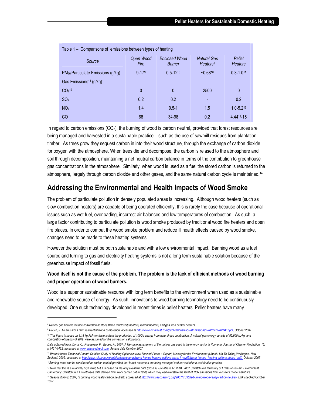| Table 1 – Comparisons of emissions between types of heating |                   |                                       |                            |                          |
|-------------------------------------------------------------|-------------------|---------------------------------------|----------------------------|--------------------------|
| Source                                                      | Open Wood<br>Fire | <b>Enclosed Wood</b><br><b>Burner</b> | Natural Gas<br>Heaters $8$ | Pellet<br><b>Heaters</b> |
| PM <sub>10</sub> Particulate Emissions (g/kg)               | $9 - 179$         | $0.5 - 12^{13}$                       | $-0.6810$                  | $0.3 - 1.011$            |
| Gas Emissions <sup>11</sup> (g/kg):                         |                   |                                       |                            |                          |
| CO <sub>2</sub> 12                                          | $\mathbf 0$       | $\mathbf{0}$                          | 2500                       | 0                        |
| SO <sub>x</sub>                                             | 0.2               | 0.2                                   |                            | 0.2                      |
| NO <sub>x</sub>                                             | 1.4               | $0.5 - 1$                             | 1.5                        | $1.0 - 5.213$            |
| CO                                                          | 68                | 34-98                                 | 0.2                        | 4.4411-15                |

In regard to carbon emissions  $(CO<sub>2</sub>)$ , the burning of wood is carbon neutral, provided that forest resources are being managed and harvested in a sustainable practice – such as the use of sawmill residues from plantation timber. As trees grow they sequest carbon in into their wood structure, through the exchange of carbon dioxide for oxygen with the atmosphere. When trees die and decompose, the carbon is relased to the atmosphere and soil through decomposition, maintaining a net neutral carbon balance in terms of the contribution to greenhouse gas concentrations in the atmosphere. Similarly, when wood is used as a fuel the stored carbon is returned to the atmosphere, largely through carbon dioxide and other gases, and the same natural carbon cycle is maintained.<sup>14</sup>

#### **Addressing the Environmental and Health Impacts of Wood Smoke**

The problem of particulate pollution in densely populated areas is increasing. Although wood heaters (such as slow combustion heaters) are capable of being operated efficiently, this is rarely the case because of operational issues such as wet fuel, overloading, incorrect air balances and low temperatures of combustion. As such, a large factor contributing to particulate pollution is wood smoke produced by traditional wood fire heaters and open fire places. In order to combat the wood smoke problem and reduce ill health effects caused by wood smoke, changes need to be made to these heating systems.

However the solution must be both sustainable and with a low environmental impact. Banning wood as a fuel source and turning to gas and electricity heating systems is not a long term sustainable solution because of the greenhouse impact of fossil fuels.

#### **Wood itself is not the cause of the problem. The problem is the lack of efficient methods of wood burning and proper operation of wood burners.**

Wood is a superior sustainable resource with long term benefits to the environment when used as a sustainable and renewable source of energy. As such, innovations to wood burning technology need to be continuously developed. One such technology developed in recent times is pellet heaters. Pellet heaters have many

l

*<sup>8</sup> Natural gas heaters include convection heaters, flame (enclosed) heaters, radiant heaters, and gas fired central heaters.* 

<sup>9</sup> *Houch, J. Air emissions from residential wood combustion, accessed at http://www.omni-test.com/publications/Air%20Emissions%20from%20RWC.pdf, October 2007.*

*<sup>10</sup> This figure is based on 1.18 kg PM10 emissions from the production of 100GJ energy from natural gas combustion. A natural gas energy density of 55,600 kJ/kg, and combustion efficiency of 90% were assumed for the conversion calculations.* 

*Data obtained from: Dinca C., Rousseaux P., Badea, A., 2007, A life cycle assessment of the natural gas used in the energy sector in Romania, Journal of Cleaner Production, 15, p.1451-1462, accessed at www.sciencedirect.com. Access date October 2007.*

<sup>11</sup> *Warm Homes Technical Report: Detailed Study of Heating Options in New Zealand Phase 1 Report, Ministry for the Environment (Manatu Mo Te Taiao),Wellington, New Zealand, 2005, accessed at http://www.mfe.govt.nz/publications/energy/warm-homes-heating-options-phase1-nov05/warm-homes--heating-options-phase1.pdf, October 2007 <sup>12</sup>Burning wood can be considered as carbon neutral provided that forest resources are being managed and harvested in a sustainable practice.* 

<sup>&</sup>lt;sup>13</sup> Note that this is a relatively high level, but it is based on the only available data (Scott A, Gunatilaka M. 2004. 2002 Christchurch Inventory of Emissions to Air. Environment *Canterbury: Christchurch.). Scott uses data derived from work carried out in 1998, which may well overstate the level of NOx emissions from a current model pellet fire. <sup>14</sup> Seacoast NRG, 2007, Is burning wood really carbon neutral?, accessed at http://www.seacoastnrg.org/2007/01/30/is-burning-wood-really-carbon-neutral/. Link checked October 2007.*